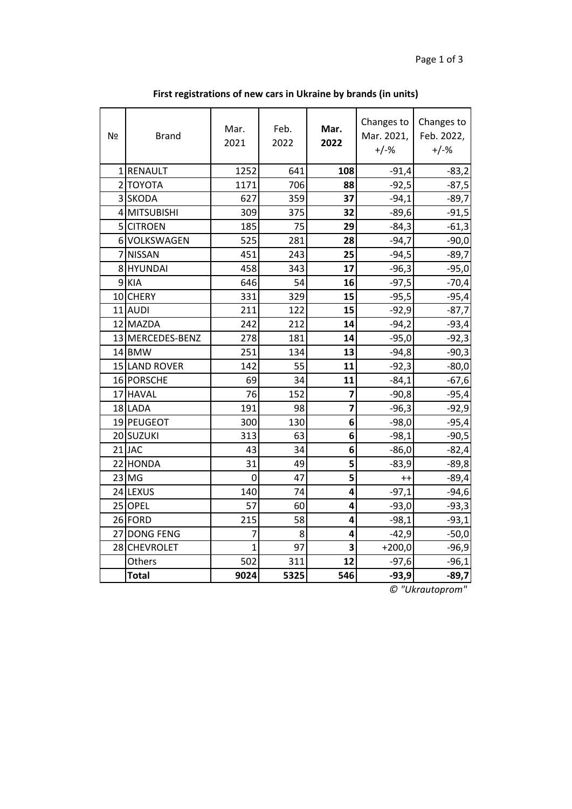| Nº | <b>Brand</b>     | Mar.<br>2021   | Feb.<br>2022 | Mar.<br>2022 | Changes to<br>Mar. 2021,<br>$+/-%$ | Changes to<br>Feb. 2022,<br>$+/-%$ |
|----|------------------|----------------|--------------|--------------|------------------------------------|------------------------------------|
|    | 1 RENAULT        | 1252           | 641          | 108          | $-91,4$                            | $-83,2$                            |
|    | 2 ΤΟΥΟΤΑ         | 1171           | 706          | 88           | $-92,5$                            | $-87,5$                            |
|    | 3 SKODA          | 627            | 359          | 37           | $-94,1$                            | $-89,7$                            |
|    | 4 MITSUBISHI     | 309            | 375          | 32           | $-89,6$                            | $-91,5$                            |
|    | 5 CITROEN        | 185            | 75           | 29           | $-84,3$                            | $-61,3$                            |
|    | 6 VOLKSWAGEN     | 525            | 281          | 28           | $-94,7$                            | $-90,0$                            |
|    | 7 NISSAN         | 451            | 243          | 25           | $-94,5$                            | $-89,7$                            |
|    | 8 HYUNDAI        | 458            | 343          | 17           | $-96,3$                            | $-95,0$                            |
|    | 9 KIA            | 646            | 54           | 16           | $-97,5$                            | $-70,4$                            |
|    | 10 CHERY         | 331            | 329          | 15           | $-95,5$                            | $-95,4$                            |
|    | 11 AUDI          | 211            | 122          | 15           | $-92,9$                            | $-87,7$                            |
|    | 12 MAZDA         | 242            | 212          | 14           | $-94,2$                            | $-93,4$                            |
|    | 13 MERCEDES-BENZ | 278            | 181          | 14           | $-95,0$                            | $-92,3$                            |
|    | 14 BMW           | 251            | 134          | 13           | $-94,8$                            | $-90,3$                            |
|    | 15 LAND ROVER    | 142            | 55           | 11           | $-92,3$                            | $-80,0$                            |
|    | 16 PORSCHE       | 69             | 34           | 11           | $-84,1$                            | $-67,6$                            |
|    | 17 HAVAL         | 76             | 152          | 7            | $-90,8$                            | $-95,4$                            |
|    | 18 LADA          | 191            | 98           | 7            | $-96,3$                            | $-92,9$                            |
|    | 19 PEUGEOT       | 300            | 130          | 6            | $-98,0$                            | $-95,4$                            |
|    | 20 SUZUKI        | 313            | 63           | 6            | $-98,1$                            | $-90,5$                            |
|    | $21$ JAC         | 43             | 34           | 6            | $-86,0$                            | $-82,4$                            |
|    | 22 HONDA         | 31             | 49           | 5            | $-83,9$                            | $-89,8$                            |
|    | $23$ MG          | 0              | 47           | 5            | $^{++}$                            | $-89,4$                            |
|    | 24 LEXUS         | 140            | 74           | 4            | $-97,1$                            | $-94,6$                            |
|    | 25 OPEL          | 57             | 60           | 4            | $-93,0$                            | $-93,3$                            |
|    | 26 FORD          | 215            | 58           | 4            | $-98,1$                            | $-93,1$                            |
|    | 27 DONG FENG     | $\overline{7}$ | 8            | 4            | $-42,9$                            | $-50,0$                            |
|    | 28 CHEVROLET     | $\overline{1}$ | 97           | 3            | $+200,0$                           | $-96,9$                            |
|    | Others           | 502            | 311          | 12           | $-97,6$                            | $-96,1$                            |
|    | <b>Total</b>     | 9024           | 5325         | 546          | $-93,9$                            | $-89,7$                            |

**First registrations of new cars in Ukraine by brands (in units)**

*© "Ukrautoprom"*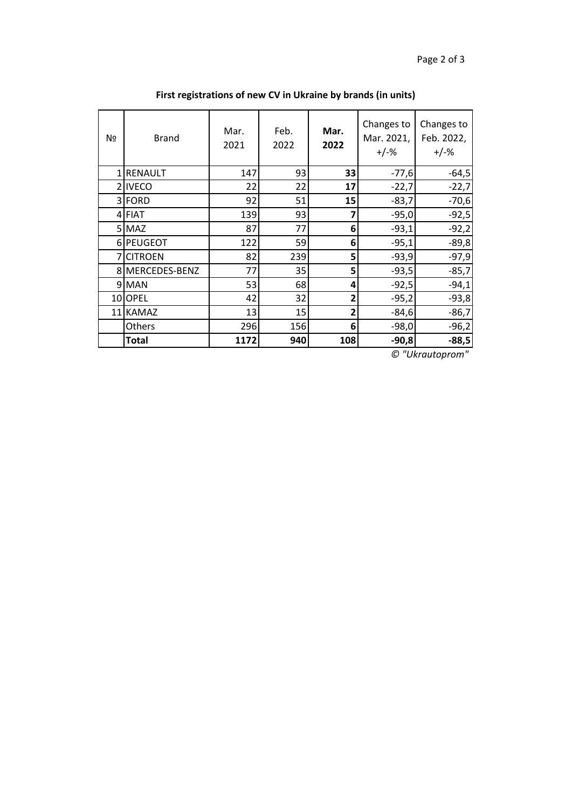| Nº | <b>Brand</b>    | Mar.<br>2021 | Feb.<br>2022 | Mar.<br>2022 | Changes to<br>Mar. 2021,<br>$+/-%$ | Changes to<br>Feb. 2022,<br>$+/-%$ |
|----|-----------------|--------------|--------------|--------------|------------------------------------|------------------------------------|
|    | 1 RENAULT       | 147          | 93           | 33           | $-77,6$                            | $-64,5$                            |
|    | 2 IVECO         | 22           | 22           | 17           | $-22,7$                            | $-22,7$                            |
|    | 3 FORD          | 92           | 51           | 15           | $-83,7$                            | $-70,6$                            |
|    | 4 FIAT          | 139          | 93           |              | $-95,0$                            | $-92,5$                            |
|    | 5 MAZ           | 87           | 77           | 6            | $-93,1$                            | $-92,2$                            |
|    | 6 PEUGEOT       | 122          | 59           | 6            | $-95,1$                            | $-89,8$                            |
| 7  | <b>CITROEN</b>  | 82           | 239          | 5            | $-93,9$                            | $-97,9$                            |
|    | 8 MERCEDES-BENZ | 77           | 35           | 5            | $-93,5$                            | $-85,7$                            |
|    | 9 MAN           | 53           | 68           | 4            | $-92,5$                            | $-94,1$                            |
|    | 10OPEL          | 42           | 32           | 2            | $-95,2$                            | $-93,8$                            |
|    | 11 KAMAZ        | 13           | 15           | 2            | $-84,6$                            | $-86,7$                            |
|    | Others          | 296          | 156          | 6            | $-98,0$                            | $-96,2$                            |
|    | <b>Total</b>    | 1172         | 940          | 108          | $-90,8$                            | $-88,5$                            |

**First registrations of new CV in Ukraine by brands (in units)**

*© "Ukrautoprom"*